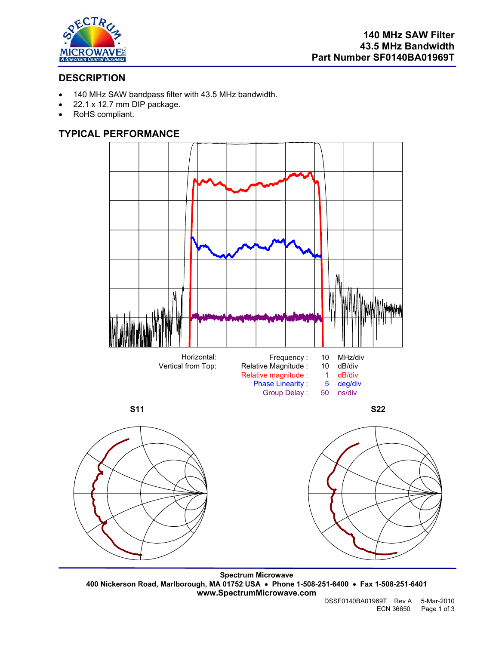

# **DESCRIPTION**

- 140 MHz SAW bandpass filter with 43.5 MHz bandwidth.
- 22.1 x 12.7 mm DIP package.
- RoHS compliant.

## **TYPICAL PERFORMANCE**



**S11** S22



**Spectrum Microwave 400 Nickerson Road, Marlborough, MA 01752 USA** • **Phone 1-508-251-6400** • **Fax 1-508-251-6401 www.SpectrumMicrowave.com**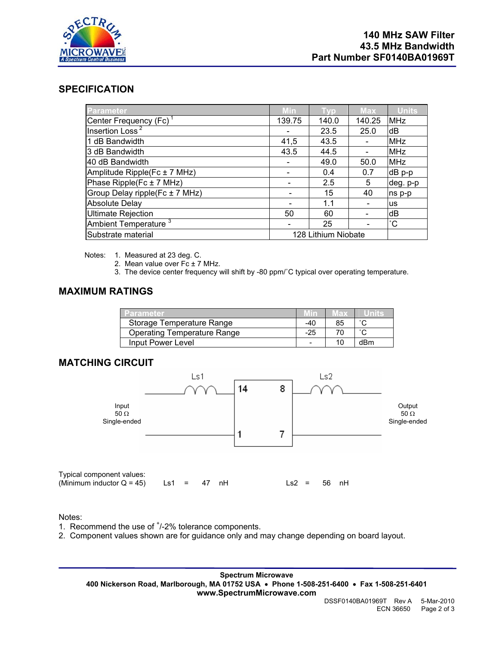

### **SPECIFICATION**

| <b>Parameter</b>                   | <b>Min</b>          | <b>Typ</b> | <b>Max</b> | <b>Units</b> |
|------------------------------------|---------------------|------------|------------|--------------|
| Center Frequency (Fc) <sup>1</sup> | 139.75              | 140.0      | 140.25     | <b>MHz</b>   |
| Insertion Loss <sup>2</sup>        |                     | 23.5       | 25.0       | dB           |
| 1 dB Bandwidth                     | 41,5                | 43.5       |            | <b>MHz</b>   |
| 3 dB Bandwidth                     | 43.5                | 44.5       |            | <b>MHz</b>   |
| 40 dB Bandwidth                    |                     | 49.0       | 50.0       | <b>MHz</b>   |
| Amplitude Ripple(Fc ± 7 MHz)       |                     | 0.4        | 0.7        | dB p-p       |
| Phase Ripple(Fc ± 7 MHz)           |                     | 2.5        | 5          | deg. p-p     |
| Group Delay ripple(Fc ± 7 MHz)     |                     | 15         | 40         | ns p-p       |
| <b>Absolute Delay</b>              |                     | 1.1        |            | lus          |
| <b>Ultimate Rejection</b>          | 50                  | 60         |            | dB           |
| Ambient Temperature <sup>3</sup>   |                     | 25         |            | $^{\circ}C$  |
| Substrate material                 | 128 Lithium Niobate |            |            |              |

Notes: 1. Measured at 23 deg. C.

2. Mean value over Fc ± 7 MHz.

3. The device center frequency will shift by -80 ppm/˚C typical over operating temperature.

## **MAXIMUM RATINGS**

| Parameter                          | $\sqrt{10}$ | $\blacksquare$ |     |
|------------------------------------|-------------|----------------|-----|
| Storage Temperature Range          | -40         | 85             |     |
| <b>Operating Temperature Range</b> | -25         |                |     |
| Input Power Level                  |             | 10             | dBm |

### **MATCHING CIRCUIT**



#### Notes:

- 1. Recommend the use of  $<sup>+</sup>/-2%$  tolerance components.</sup>
- 2. Component values shown are for guidance only and may change depending on board layout.

**Spectrum Microwave 400 Nickerson Road, Marlborough, MA 01752 USA** • **Phone 1-508-251-6400** • **Fax 1-508-251-6401 www.SpectrumMicrowave.com**